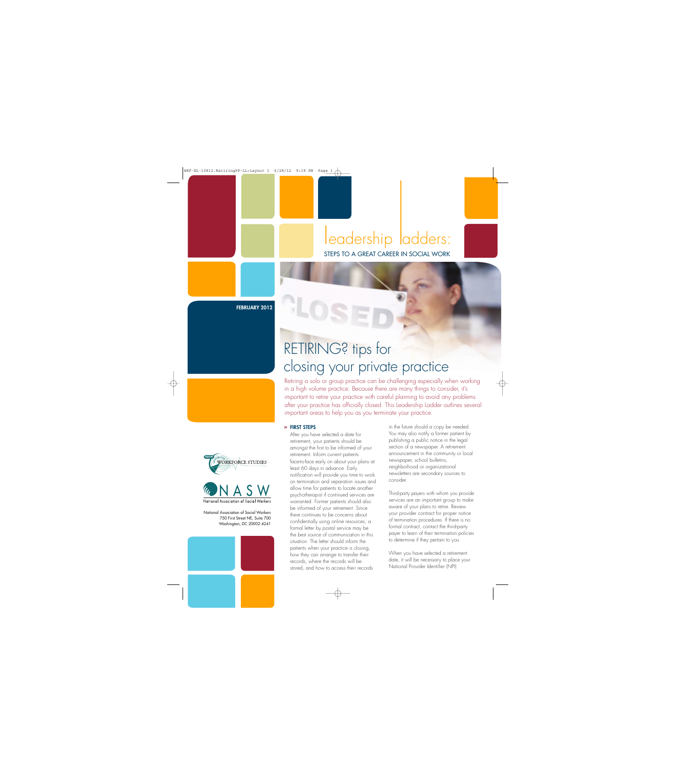## leadership ladders: STEPS TO A GREAT CAREER IN SOCIAL WORK

**FEBRUARY 2012**

# RETIRING? tips for closing your private practice

Retiring a solo or group practice can be challenging especially when working in a high volume practice. Because there are many things to consider, it's important to retire your practice with careful planning to avoid any problems after your practice has officially closed. This Leadership Ladder outlines several important areas to help you as you terminate your practice.

#### **» FIRST STEPS**

After you have selected a date for retirement, your patients should be amongst the first to be informed of your retirement. Inform current patients face-to-face early on about your plans at least 60 days in advance. Early notification will provide you time to work on termination and separation issues and allow time for patients to locate another psychotherapist if continued services are warranted. Former patients should also be informed of your retirement. Since there continues to be concerns about confidentially using online resources, a formal letter by postal service may be the best source of communication in this situation. The letter should inform the patients when your practice is closing, how they can arrange to transfer their records, where the records will be stored, and how to access their records

in the future should a copy be needed. You may also notify a former patient by publishing a public notice in the legal section of a newspaper. A retirement announcement in the community or local newspaper, school bulletins, neighborhood or organizational newsletters are secondary sources to consider.

Third-party payers with whom you provide services are an important group to make aware of your plans to retire. Review your provider contract for proper notice of termination procedures. If there is no formal contract, contact the third-party payer to learn of their termination policies to determine if they pertain to you.

When you have selected a retirement date, it will be necessary to place your National Provider Identifier (NPI)





National Association of Social Workers

National Association of Social Workers 750 First Street NE, Suite 700 Washington, DC 20002-4241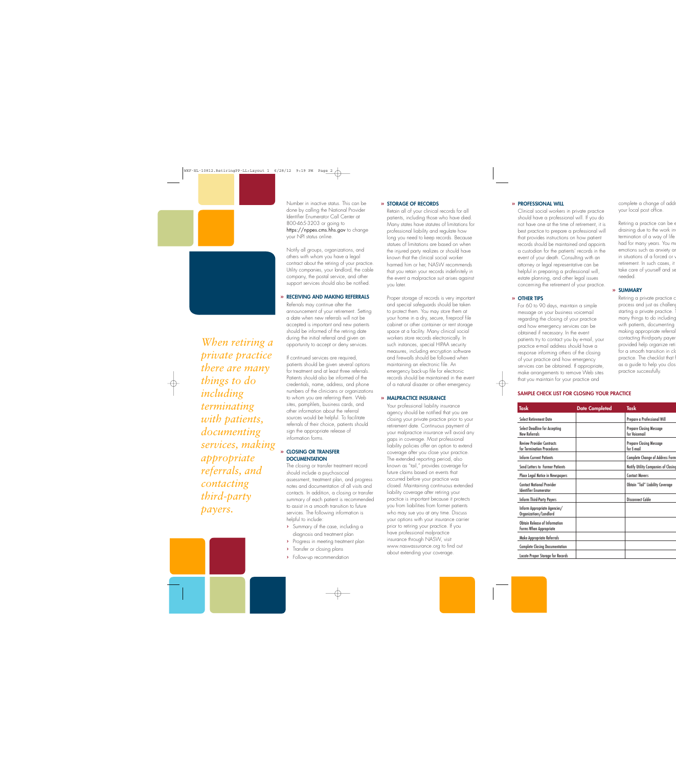

*When retiring a private practice there are many things to do including terminating with patients, documenting services, making appropriate referrals, and contacting third-party payers.*

Number in inactive status. This can be done by calling the National Provider Identifier Enumerator Call Center at 800-465-3203 or going to https://nppes.cms.hhs.gov to change your NPI status online.

Notify all groups, organizations, and others with whom you have a legal contract about the retiring of your practice. Utility companies, your landlord, the cable company, the postal service, and other support services should also be notified.

#### **» RECEIVING AND MAKING REFERRALS**

Referrals may continue after the announcement of your retirement. Setting a date when new referrals will not be accepted is important and new patients should be informed of the retiring date during the initial referral and given an opportunity to accept or deny services.

If continued services are required, patients should be given several options for treatment and at least three referrals. Patients should also be informed of the credentials, name, address, and phone numbers of the clinicians or organizations to whom you are referring them. Web sites, pamphlets, business cards, and other information about the referral sources would be helpful. To facilitate referrals of their choice, patients should sign the appropriate release of information forms.

#### **» CLOSING OR TRANSFER DOCUMENTATION**

The closing or transfer treatment record should include a psychosocial assessment, treatment plan, and progress notes and documentation of all visits and contacts. In addition, a closing or transfer summary of each patient is recommended to assist in a smooth transition to future services. The following information is helpful to include:

- **›** Summary of the case, including a diagnosis and treatment plan
- **›** Progress in meeting treatment plan
- **›** Transfer or closing plans
- **›** Follow-up recommendation

#### **» STORAGE OF RECORDS**

Retain all of your clinical records for all patients, including those who have died. Many states have statutes of limitations for professional liability and regulate how long you need to keep records. Because statues of limitations are based on when the injured party realizes or should have known that the clinical social worker harmed him or her, NASW recommends that you retain your records indefinitely in the event a malpractice suit arises against you later.

Proper storage of records is very important and special safeguards should be taken to protect them. You may store them at your home in a dry, secure, fireproof file cabinet or other container or rent storage space at a facility. Many clinical social workers store records electronically. In such instances, special HIPAA security measures, including encryption software and firewalls should be followed when maintaining an electronic file. An emergency back-up file for electronic records should be maintained in the event of a natural disaster or other emergency.

#### **» MALPRACTICE INSURANCE**

Your professional liability insurance agency should be notified that you are closing your private practice prior to your retirement date. Continuous payment of your malpractice insurance will avoid any gaps in coverage. Most professional liability policies offer an option to extend coverage after you close your practice. The extended reporting period, also known as "tail," provides coverage for future claims based on events that occurred before your practice was closed. Maintaining continuous extended liability coverage after retiring your practice is important because it protects you from liabilities from former patients who may sue you at any time. Discuss your options with your insurance carrier prior to retiring your practice. If you have professional malpractice insurance through NASW, visit www.naswassurance.org to find out about extending your coverage.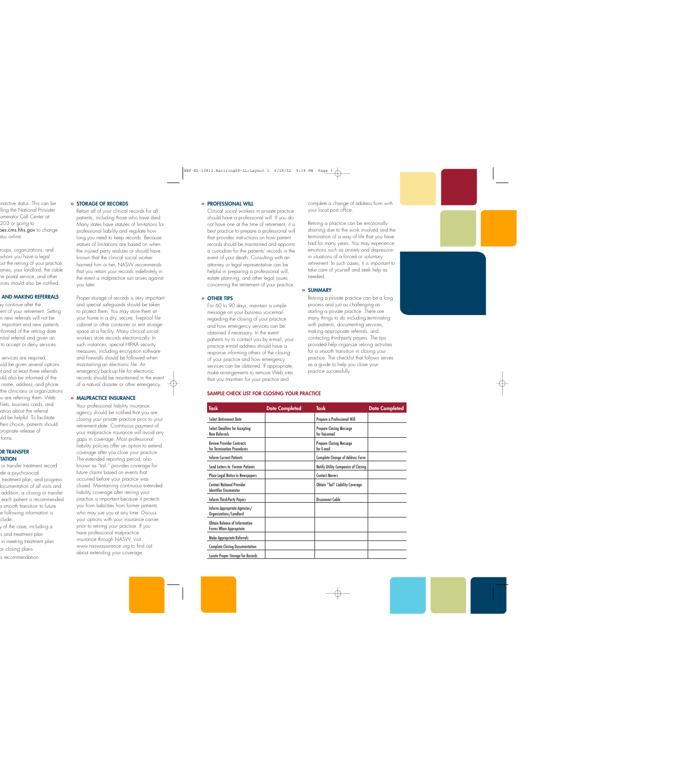#### **» PROFESSIONAL WILL**

Clinical social workers in private practice should have a professional will. If you do not have one at the time of retirement, it is best practice to prepare a professional will that provides instructions on how patient records should be maintained and appoints a custodian for the patients' records in the event of your death. Consulting with an attorney or legal representative can be helpful in preparing a professional will, estate planning, and other legal issues concerning the retirement of your practice.

#### **» OTHER TIPS**

For 60 to 90 days, maintain a simple message on your business voicemail regarding the closing of your practice and how emergency services can be obtained if necessary. In the event patients try to contact you by e-mail, your practice e-mail address should have a response informing others of the closing of your practice and how emergency services can be obtained. If appropriate, make arrangements to remove Web sites that you maintain for your practice and

complete a change of address form with your local post office.

Retiring a practice can be emotionally draining due to the work involved and the termination of a way of life that you have had for many years. You may experience emotions such as anxiety and depression in situations of a forced or voluntary retirement. In such cases, it is important to take care of yourself and seek help as needed.

#### **» SUMMARY**

Retiring a private practice can be a long process and just as challenging as starting a private practice. There are many things to do including terminating with patients, documenting services, making appropriate referrals, and contacting third-party payers. The tips provided help organize retiring activities for a smooth transition in closing your practice. The checklist that follows serves as a guide to help you close your practice successfully.

#### **SAMPLE CHECK LIST FOR CLOSING YOUR PRACTICE**

| Task                                                             | <b>Date Completed</b> | <b>Task</b>                                     | <b>Date Completed</b> |
|------------------------------------------------------------------|-----------------------|-------------------------------------------------|-----------------------|
| <b>Select Retirement Date</b>                                    |                       | Prepare a Professional Will                     |                       |
| <b>Select Deadline for Accepting</b><br>New Referrals            |                       | <b>Prepare Closing Message</b><br>for Voicemail |                       |
| <b>Review Provider Contracts</b><br>for Termination Procedures   |                       | <b>Prepare Closing Message</b><br>for E-mail    |                       |
| <b>Inform Current Patients</b>                                   |                       | <b>Complete Change of Address Form</b>          |                       |
| <b>Send Letters to Former Patients</b>                           |                       | Notify Utility Companies of Closing             |                       |
| Place Legal Notice in Newspapers                                 |                       | <b>Contact Movers</b>                           |                       |
| <b>Contact National Provider</b><br><b>Identifier Enumerator</b> |                       | <b>Obtain "Tail" Liability Coverage</b>         |                       |
| <b>Inform Third-Party Payers</b>                                 |                       | Disconnect Cable                                |                       |
| Inform Appropriate Agencies/<br>Organizations/Landlord           |                       |                                                 |                       |
| Obtain Release of Information<br><b>Forms When Appropriate</b>   |                       |                                                 |                       |
| Make Appropriate Referrals                                       |                       |                                                 |                       |
| <b>Complete Closing Documentation</b>                            |                       |                                                 |                       |
| <b>Locate Proper Storage for Records</b>                         |                       |                                                 |                       |